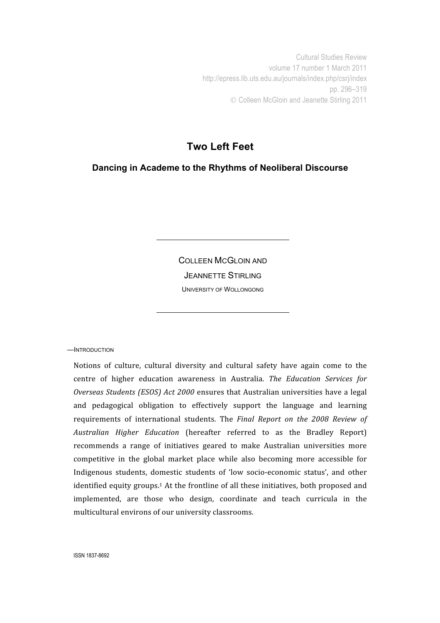Cultural Studies Review volume 17 number 1 March 2011 http://epress.lib.uts.edu.au/journals/index.php/csrj/index pp. 296–319 Colleen McGloin and Jeanette Stirling 2011

# **Two Left Feet**

**Dancing in Academe to the Rhythms of Neoliberal Discourse**

COLLEEN MCGLOIN AND JEANNETTE STIRLING UNIVERSITY OF WOLLONGONG

—INTRODUCTION

Notions of culture, cultural diversity and cultural safety have again come to the centre of higher education awareness in Australia. The Education Services for Overseas Students (ESOS) Act 2000 ensures that Australian universities have a legal and pedagogical obligation to effectively support the language and learning requirements of international students. The *Final Report on the 2008 Review of* Australian Higher Education (hereafter referred to as the Bradley Report) recommends a range of initiatives geared to make Australian universities more competitive in the global market place while also becoming more accessible for Indigenous students, domestic students of 'low socio-economic status', and other identified equity groups.<sup>1</sup> At the frontline of all these initiatives, both proposed and implemented,
 are
 those
 who
 design,
 coordinate
 and
 teach
 curricula
 in
 the multicultural
environs
of
our
university
classrooms.

ISSN 1837-8692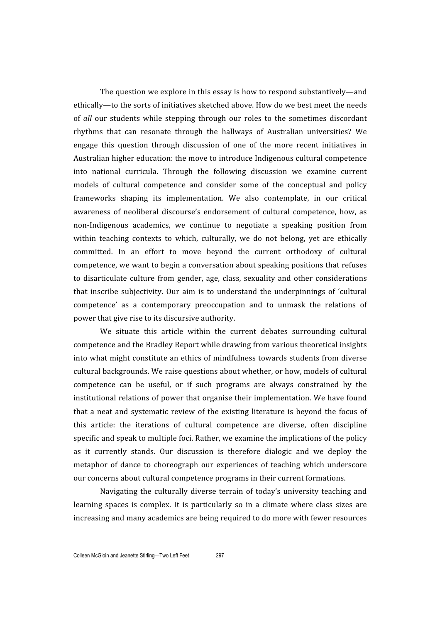The
question
we
explore
in
this
essay
is
how
to
respond
substantively—and ethically-to the sorts of initiatives sketched above. How do we best meet the needs of all our students while stepping through our roles to the sometimes discordant rhythms
 that
 can
 resonate
 through
 the
 hallways
 of
 Australian
 universities?
 We engage this question through discussion of one of the more recent initiatives in Australian
higher
education:
the
move
to
introduce
Indigenous
cultural
competence into
 national
 curricula.
 Through
 the
 following
 discussion
 we
 examine
 current models
 of
 cultural
 competence
 and
 consider
 some
 of
 the
 conceptual
 and
 policy frameworks shaping its implementation. We also contemplate, in our critical awareness
 of
 neoliberal
 discourse's
 endorsement
 of
 cultural
 competence,
 how,
 as non-Indigenous academics, we continue to negotiate a speaking position from within teaching contexts to which, culturally, we do not belong, yet are ethically committed.
 In
 an
 effort
 to
 move
 beyond
 the
 current
 orthodoxy
 of
 cultural competence,
we
want
to
begin
a
conversation
about
speaking
positions
that
refuses to
 disarticulate
 culture
 from
 gender,
 age,
 class,
 sexuality
 and
 other
 considerations that inscribe subjectivity. Our aim is to understand the underpinnings of 'cultural competence'
 as
 a contemporary
 preoccupation
 and
 to
 unmask
 the
 relations
 of power that give rise to its discursive authority.

We situate this article within the current debates surrounding cultural competence
and
the
Bradley
Report
while
drawing
from
various
theoretical
insights into
what
might
constitute
an
ethics
of
mindfulness
 towards
students
 from
diverse cultural
backgrounds.
We
raise
questions
about
whether,
or
how,
models
of
cultural competence can be useful, or if such programs are always constrained by the institutional
relations
of
power
 that
organise
 their
implementation.
We
have
 found that a neat and systematic review of the existing literature is beyond the focus of this article: the iterations of cultural competence are diverse, often discipline specific and speak to multiple foci. Rather, we examine the implications of the policy as it currently stands. Our discussion is therefore dialogic and we deploy the metaphor of dance to choreograph our experiences of teaching which underscore our
concerns
about
cultural
competence
programs
in
their
current
formations.

Navigating the culturally diverse terrain of today's university teaching and learning spaces is complex. It is particularly so in a climate where class sizes are increasing
and
many
academics
are
being
required
to
do
more
with
fewer
resources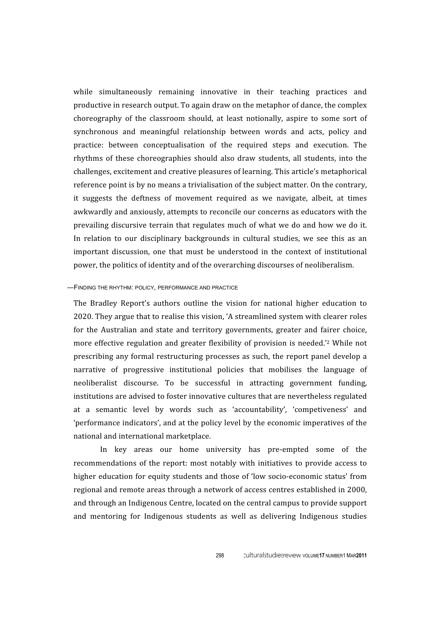while simultaneously remaining innovative in their teaching practices and productive
in
research
output.
To
again
draw
on
the
metaphor
of
dance,
the
complex choreography of the classroom should, at least notionally, aspire to some sort of synchronous and meaningful relationship between words and acts, policy and practice:
 between
 conceptualisation
 of
 the
 required
 steps
 and
 execution.
 The rhythms of these choreographies should also draw students, all students, into the challenges,
excitement
and
creative
pleasures
of
learning.
This
article's
metaphorical reference point is by no means a trivialisation of the subject matter. On the contrary, it
 suggests
 the
 deftness
 of
 movement
 required
 as
 we
 navigate,
 albeit,
 at
 times awkwardly and anxiously, attempts to reconcile our concerns as educators with the prevailing discursive terrain that regulates much of what we do and how we do it. In relation to our disciplinary backgrounds in cultural studies, we see this as an important
 discussion,
 one
 that
 must
 be
 understood
 in
 the
 context
 of
 institutional power,
the
politics
of
identity
and
of
the
overarching
discourses
of
neoliberalism.

## —FINDING THE RHYTHM: POLICY, PERFORMANCE AND PRACTICE

The Bradley Report's authors outline the vision for national higher education to 2020. They argue that to realise this vision, 'A streamlined system with clearer roles for the Australian and state and territory governments, greater and fairer choice, more effective regulation and greater flexibility of provision is needed.'2 While not prescribing
any
 formal
restructuring
processes
as
such,
 the
report
panel
develop
a narrative of progressive institutional policies that mobilises the language of neoliberalist
 discourse.
 To
 be
 successful
 in
 attracting
 government
 funding, institutions are advised to foster innovative cultures that are nevertheless regulated at
 a
 semantic
 level
 by
 words
 such
 as 'accountability',
 'competiveness'
 and 'performance
indicators',
and
at
the
policy
level
by
the
economic
imperatives
of
the national
and
international
marketplace.

In
 key
 areas
 our
 home
 university
 has
 pre‐empted
 some
 of
 the recommendations of the report: most notably with initiatives to provide access to higher education for equity students and those of 'low socio-economic status' from regional
and
remote
areas
through
a
network
of
access
centres
established
in
2000, and
through
an
Indigenous
Centre,
located
on
the
central
campus
to
provide
support and
 mentoring
 for
 Indigenous
 students
 as
 well
 as
 delivering
 Indigenous
 studies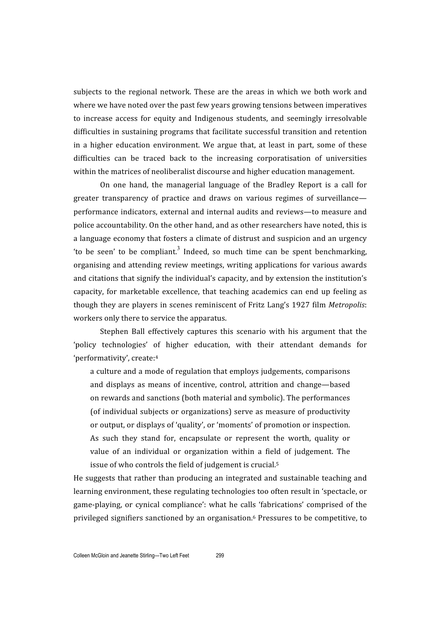subjects to the regional network. These are the areas in which we both work and where we have noted over the past few years growing tensions between imperatives to
 increase
 access
 for
 equity
 and
 Indigenous
 students,
 and
 seemingly
 irresolvable difficulties in sustaining programs that facilitate successful transition and retention in a higher education environment. We argue that, at least in part, some of these difficulties can be traced back to the increasing corporatisation of universities within the matrices of neoliberalist discourse and higher education management.

On one hand, the managerial language of the Bradley Report is a call for greater transparency of practice and draws on various regimes of surveillance performance
indicators,
external
and
internal
audits
and
reviews—to
measure
and police accountability. On the other hand, and as other researchers have noted, this is a language economy that fosters a climate of distrust and suspicion and an urgency 'to be seen' to be compliant.<sup>3</sup> Indeed, so much time can be spent benchmarking, organising
and
attending
review
meetings,
writing
applications
 for
 various
awards and
citations
that
signify
the
individual's
capacity,
and
by
extension
the
institution's capacity,
 for
marketable
 excellence,
 that
 teaching
 academics
 can
 end
 up
 feeling
 as though
 they
are
players
in
scenes
reminiscent
of
Fritz
Lang's
1927
 film *Metropolis*: workers
only
there
to
service
the
apparatus.

Stephen Ball effectively captures this scenario with his argument that the 'policy
 technologies'
 of
 higher
 education,
 with
 their
 attendant
 demands
 for 'performativity',
create:4

a culture and a mode of regulation that employs judgements, comparisons and
 displays
 as
 means
 of
 incentive,
 control,
 attrition
 and
 change—based on
rewards
and
sanctions
(both
material
and
symbolic).
The
performances (of
individual
subjects
or
organizations)
serve
as
measure
of
productivity or
output,
or
displays
of
'quality',
or
'moments'
of
promotion
or
inspection. As such they stand for, encapsulate or represent the worth, quality or value of an individual or organization within a field of judgement. The issue of who controls the field of judgement is crucial.<sup>5</sup>

He
suggests
 that
rather
 than
producing
an
integrated
and
sustainable
 teaching
and learning environment, these regulating technologies too often result in 'spectacle, or game-playing, or cynical compliance': what he calls 'fabrications' comprised of the privileged
signifiers
sanctioned
by
an
organisation.6
Pressures
to
be
competitive,
to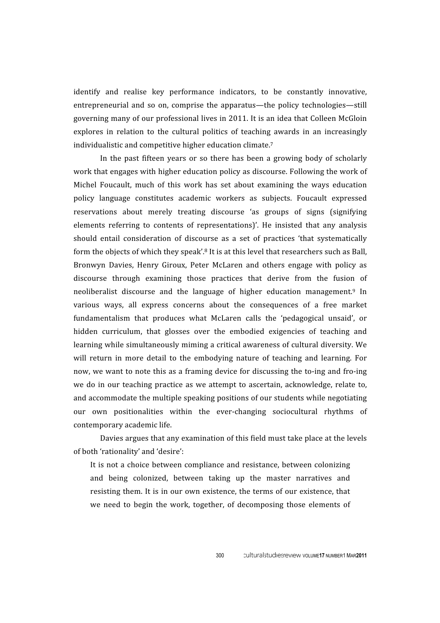identify and realise key performance indicators, to be constantly innovative, entrepreneurial and so on, comprise the apparatus—the policy technologies—still governing
many
of
our
professional
lives
in
2011.
It
is
an
idea
that
Colleen
McGloin explores in relation to the cultural politics of teaching awards in an increasingly individualistic and competitive higher education climate.<sup>7</sup>

In the past fifteen vears or so there has been a growing body of scholarly work that engages with higher education policy as discourse. Following the work of Michel Foucault, much of this work has set about examining the ways education policy
 language
 constitutes
 academic
 workers
 as
 subjects. Foucault
 expressed reservations about merely treating discourse 'as groups of signs (signifying elements referring to contents of representations)'. He insisted that any analysis should entail consideration of discourse as a set of practices 'that systematically form the objects of which they speak'.<sup>8</sup> It is at this level that researchers such as Ball. Bronwyn Davies, Henry Giroux, Peter McLaren and others engage with policy as discourse through examining those practices that derive from the fusion of neoliberalist
 discourse
 and
 the
 language
 of
 higher
 education
 management.9
 In various ways, all express concerns about the consequences of a free market fundamentalism that produces what McLaren calls the 'pedagogical unsaid', or hidden curriculum, that glosses over the embodied exigencies of teaching and learning while simultaneously miming a critical awareness of cultural diversity. We will return in more detail to the embodying nature of teaching and learning. For now, we want to note this as a framing device for discussing the to-ing and fro-ing we do in our teaching practice as we attempt to ascertain, acknowledge, relate to, and
accommodate
the
multiple
speaking
positions
of
our
students
while
negotiating our own positionalities within the ever-changing sociocultural rhythms of contemporary
academic
life.

Davies argues that any examination of this field must take place at the levels of
both
'rationality'
and
'desire':

It is not a choice between compliance and resistance, between colonizing and being
 colonized,
 between
 taking
 up
 the
 master
 narratives
 and resisting them. It is in our own existence, the terms of our existence, that we need to begin the work, together, of decomposing those elements of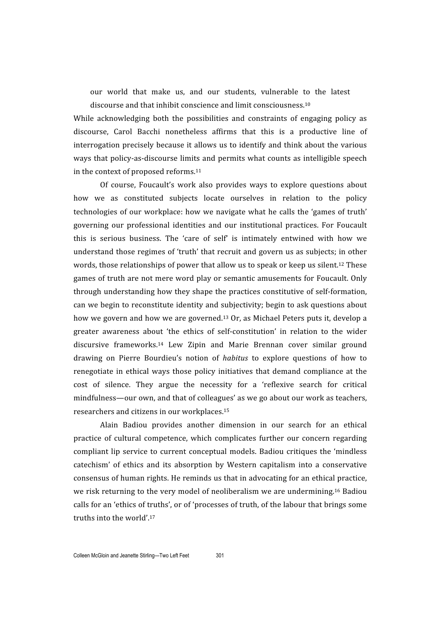our world that make us, and our students, vulnerable to the latest discourse
and
that
inhibit
conscience
and
limit consciousness.10

While acknowledging both the possibilities and constraints of engaging policy as discourse, Carol Bacchi nonetheless affirms that this is a productive line of interrogation
precisely
because
it
allows
us
 to
identify
and
 think
about
 the
various ways that policy-as-discourse limits and permits what counts as intelligible speech in
the
context
of
proposed
reforms.11

Of
 course,
 Foucault's
 work
 also
 provides
 ways
 to
 explore
 questions
 about how we as constituted subjects locate ourselves in relation to the policy technologies
of
our
workplace:
how
we
navigate
what
he
calls
 the
'games
of
 truth' governing our professional identities and our institutional practices. For Foucault this is serious business. The 'care of self' is intimately entwined with how we understand
those
regimes
of
'truth'
that
recruit
and
govern
us
as
subjects;
in
other words, those relationships of power that allow us to speak or keep us silent.<sup>12</sup> These games
of
truth
are
not
mere
word
play
or
semantic
amusements
 for
Foucault.
Only through
understanding
how
they
shape
the
practices
constitutive
of
self‐formation, can
we
begin
to
reconstitute
identity
and
subjectivity;
begin
to
ask
questions
about how we govern and how we are governed.<sup>13</sup> Or, as Michael Peters puts it, develop a greater awareness about 'the ethics of self-constitution' in relation to the wider discursive
 frameworks.14
 Lew
 Zipin
 and
 Marie
 Brennan
 cover
 similar
 ground drawing on Pierre Bourdieu's notion of *habitus* to explore questions of how to renegotiate in ethical ways those policy initiatives that demand compliance at the cost
 of
 silence.
 They
 argue
 the
 necessity
 for
 a
 'reflexive
 search
 for
 critical mindfulness—our
own,
and
that
of
colleagues'
as
we
go
about
our
work
as
teachers, researchers
and
citizens
in
our
workplaces.15

Alain Badiou provides another dimension in our search for an ethical practice
 of
 cultural
 competence,
 which
 complicates
 further
 our
 concern
 regarding compliant lip service to current conceptual models. Badiou critiques the 'mindless catechism'
 of
 ethics
 and
 its
 absorption
 by
 Western
 capitalism
 into
 a
 conservative consensus
of
human
rights.
He
reminds
us
that
in
advocating
for
an
ethical
practice, we risk returning to the very model of neoliberalism we are undermining.<sup>16</sup> Badiou calls for an 'ethics of truths', or of 'processes of truth, of the labour that brings some truths
into
the
world'.17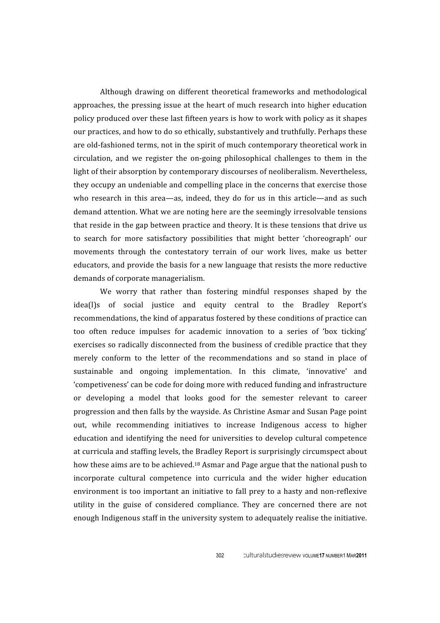Although
 drawing
 on
 different
 theoretical
 frameworks
 and
 methodological approaches,
 the
pressing
issue
at
 the
heart
of
much
research
into
higher
education policy
produced
over
these
last
fifteen
years
is
how
to
work
with
policy
as
it
shapes our
practices,
and
how
to
do
so
ethically,
substantively
and
truthfully.
Perhaps
these are old-fashioned terms, not in the spirit of much contemporary theoretical work in circulation, and we register the on-going philosophical challenges to them in the light of their absorption by contemporary discourses of neoliberalism. Nevertheless, they
occupy
an
undeniable
and
compelling
place
in
the
concerns
that
exercise
those who research in this area—as, indeed, they do for us in this article—and as such demand
attention.
What
we
are
noting
here
are
the
seemingly
irresolvable
tensions that reside in the gap between practice and theory. It is these tensions that drive us to search for more satisfactory possibilities that might better 'choreograph' our movements through the contestatory terrain of our work lives, make us better educators,
and
provide
the
basis
for
a
new
language
that
resists
the
more
reductive demands
of
corporate
managerialism.

We worry that rather than fostering mindful responses shaped by the idea(I)s of social justice and equity central to the Bradley Report's recommendations,
the
kind
of
apparatus
fostered
by
these
conditions
of
practice
can too often reduce impulses for academic innovation to a series of 'box ticking' exercises
so
radically
disconnected
 from
the
business
of
credible
practice
that
they merely conform to the letter of the recommendations and so stand in place of sustainable and ongoing implementation. In this climate, 'innovative' and 'competiveness'
can
be
code
for
doing
more
with
reduced
funding
and
infrastructure or
 developing
 a
 model
 that
 looks
 good
 for
 the
 semester
 relevant
 to
 career progression
and
then
falls
by
the
wayside.
As
Christine
Asmar
and
Susan
Page
point out, while recommending initiatives to increase Indigenous access to higher education
and
identifying
 the
need
 for
universities
 to
develop
cultural
competence at
curricula
and
staffing
levels,
the
Bradley
Report
is
surprisingly
circumspect
about how these aims are to be achieved.<sup>18</sup> Asmar and Page argue that the national push to incorporate
 cultural
 competence
 into
 curricula
 and
 the
 wider
 higher
 education environment is too important an initiative to fall prey to a hasty and non-reflexive utility in
 the
 guise
 of
 considered
 compliance.
 They
 are
 concerned
 there
 are
 not enough Indigenous staff in the university system to adequately realise the initiative.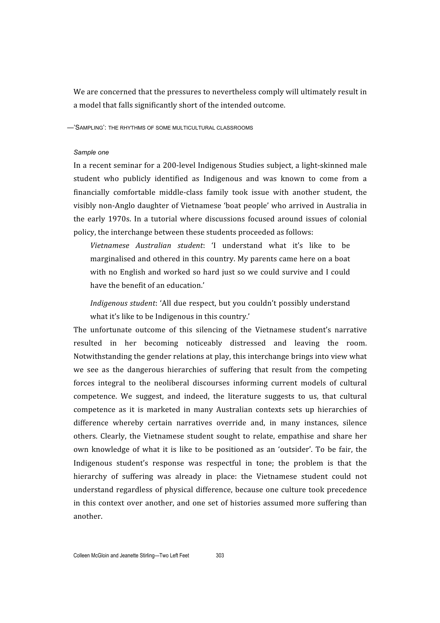We are concerned that the pressures to nevertheless comply will ultimately result in a model that falls significantly short of the intended outcome.

—'SAMPLING': THE RHYTHMS OF SOME MULTICULTURAL CLASSROOMS

## *Sample one*

In a recent seminar for a 200-level Indigenous Studies subject, a light-skinned male student who publicly identified as Indigenous and was known to come from a financially comfortable middle-class family took issue with another student, the visibly non-Anglo daughter of Vietnamese 'boat people' who arrived in Australia in the early 1970s. In a tutorial where discussions focused around issues of colonial policy,
the
interchange
between
these
students
proceeded
as
follows:

Vietnamese Australian student: 'I understand what it's like to be marginalised
and
othered
in
this
country.
My
parents
came
here
on
a
boat with no English and worked so hard just so we could survive and I could have
the
benefit
of
an
education.'

*Indigenous
student*: 'All
due
respect,
but
you
couldn't
possibly
understand what it's like to be Indigenous in this country.'

The unfortunate outcome of this silencing of the Vietnamese student's narrative resulted
 in
 her
 becoming
 noticeably
 distressed
 and
 leaving
 the
 room. Notwithstanding the gender relations at play, this interchange brings into view what we see as the dangerous hierarchies of suffering that result from the competing forces integral to the neoliberal discourses informing current models of cultural competence. We
 suggest,
 and
 indeed,
 the
 literature
 suggests
 to
 us,
 that
 cultural competence
 as
 it
 is
 marketed
 in many
 Australian
 contexts
 sets
 up
 hierarchies
 of difference whereby certain narratives override and, in many instances, silence others. Clearly,
 the
 Vietnamese
 student
 sought
 to
 relate,
 empathise
 and
 share
 her own knowledge of what it is like to be positioned as an 'outsider'. To be fair, the Indigenous student's response was respectful in tone; the problem is that the hierarchy of suffering was already in place: the Vietnamese student could not understand
 regardless
 of
physical
difference,
because
 one
culture
 took
precedence in
 this
context
over
another,
and
one
set
of
histories
assumed
more
suffering
 than another.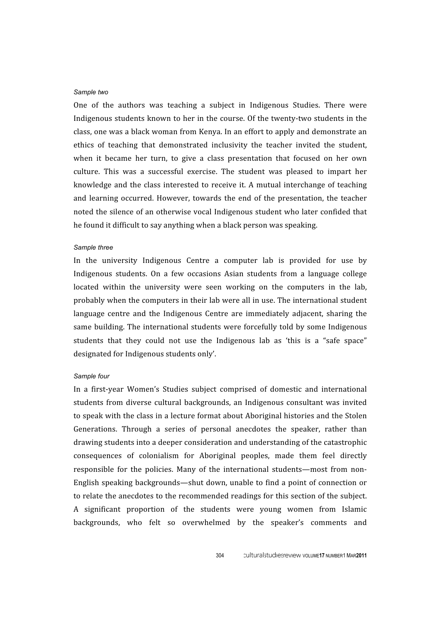#### *Sample two*

One of the authors was teaching a subject in Indigenous Studies. There were Indigenous students known to her in the course. Of the twenty-two students in the class,
one
was
a
black
woman
from
Kenya.
In
an
effort
to
apply
and
demonstrate
an ethics
 of
 teaching
 that
 demonstrated
 inclusivity
 the
 teacher
 invited
 the
 student, when it became her turn, to give a class presentation that focused on her own culture. This
 was
 a
 successful
 exercise. The
 student
 was
 pleased
 to
 impart
 her knowledge and the class interested to receive it. A mutual interchange of teaching and
learning
 occurred.
However,
 towards
 the
 end
 of
 the
 presentation,
 the
 teacher noted the silence of an otherwise vocal Indigenous student who later confided that he
found
it
difficult
to
say
anything
when
a
black
person
was
speaking.

# *Sample three*

In the university Indigenous Centre a computer lab is provided for use by Indigenous students. On a few occasions Asian students from a language college located within the university were seen working on the computers in the lab, probably
when
the
computers
in
their
lab
were
all
in
use.
The
international
student language centre and the Indigenous Centre are immediately adjacent, sharing the same building. The international students were forcefully told by some Indigenous students that they could not use the Indigenous lab as 'this is a "safe space" designated
for
Indigenous
students
only'.

# *Sample four*

In a first-year Women's Studies subject comprised of domestic and international students
 from
 diverse
 cultural
 backgrounds,
 an
 Indigenous
 consultant
was
invited to speak with the class in a lecture format about Aboriginal histories and the Stolen Generations. Through a series of personal anecdotes the speaker, rather than drawing
students
into
a
deeper
consideration
and
understanding
of
the
catastrophic consequences
 of
 colonialism
 for
 Aboriginal
 peoples,
 made
 them
 feel
 directly responsible for the policies. Many of the international students—most from non-English
speaking
backgrounds—shut
down,
unable
 to
 find
a
point
of
connection
or to relate the anecdotes to the recommended readings for this section of the subject. A
 significant
 proportion
 of
 the
 students
 were
 young
 women
 from
 Islamic backgrounds,
 who
 felt
 so
 overwhelmed
 by
 the
 speaker's
 comments
 and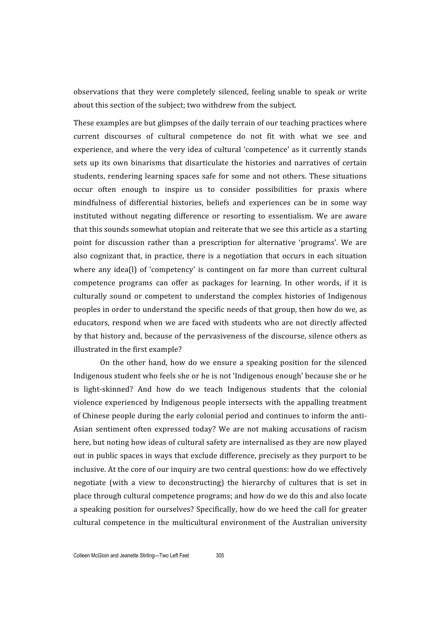observations that they were completely silenced, feeling unable to speak or write about
this
section
of
the
subject;
two
withdrew
from
the
subject.

These
examples
are
but
glimpses
of
the
daily
terrain
of
our
teaching
practices
where current
 discourses
 of
 cultural
 competence
 do
 not
 fit
 with
 what
 we
 see
 and experience,
and
where
 the
very
idea
of
cultural
'competence'
as
it
currently
stands sets up its own binarisms that disarticulate the histories and narratives of certain students, rendering learning spaces safe for some and not others. These situations occur often enough to inspire us to consider possibilities for praxis where mindfulness of differential histories, beliefs and experiences can be in some way instituted without negating difference or resorting to essentialism. We are aware that
this
sounds
somewhat
utopian
and
reiterate
that
we
see
this
article
as
a
starting point for discussion rather than a prescription for alternative 'programs'. We are also cognizant that, in practice, there is a negotiation that occurs in each situation where any idea(l) of 'competency' is contingent on far more than current cultural competence programs can offer as packages for learning. In other words, if it is culturally
 sound
 or
 competent
 to
 understand
 the
 complex
 histories
 of
 Indigenous peoples
in
order
to
understand
the
specific
needs
of
that
group,
then
how
do
we,
as educators,
respond
when
we
are
 faced
with
students
who
are
not
directly
affected by
that
history
and,
because
of
the
pervasiveness
of
the
discourse,
silence
others
as illustrated
in
the
first
example?

On
 the
 other
 hand,
 how
 do
 we
 ensure
 a
 speaking
 position
 for
 the
 silenced Indigenous student who feels she or he is not 'Indigenous enough' because she or he is light-skinned? And how do we teach Indigenous students that the colonial violence
experienced
by
 Indigenous
people
intersects
with
 the
appalling
 treatment of Chinese people during the early colonial period and continues to inform the anti-Asian sentiment often expressed today? We are not making accusations of racism here, but noting how ideas of cultural safety are internalised as they are now played out
in
public
spaces
in
ways
that
exclude
difference,
precisely
as
they
purport
to
be inclusive.
At
the
core
of
our
inquiry
are
two
central
questions:
how
do
we
effectively negotiate (with a view to deconstructing) the hierarchy of cultures that is set in place
through
cultural
competence
programs;
and
how
do
we
do
this
and
also
locate a speaking position for ourselves? Specifically, how do we heed the call for greater cultural
 competence
 in
 the
 multicultural
 environment
 of
 the
Australian
 university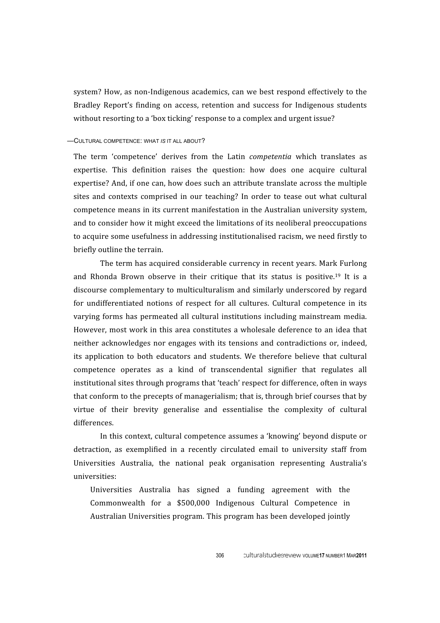system? How, as non-Indigenous academics, can we best respond effectively to the Bradley Report's finding on access, retention and success for Indigenous students without resorting to a 'box ticking' response to a complex and urgent issue?

# —CULTURAL COMPETENCE: WHAT *IS* IT ALL ABOUT?

The term 'competence' derives from the Latin *competentia* which translates as expertise. This definition raises the question: how does one acquire cultural expertise?
And,
if
one
can,
how
does
such
an
attribute
translate
across
the
multiple sites and contexts comprised in our teaching? In order to tease out what cultural competence
means
in
its
current
manifestation
in
the
Australian
university
system, and
to
consider
how
it
might
exceed
the
limitations
of
its
neoliberal
preoccupations to acquire some usefulness in addressing institutionalised racism, we need firstly to briefly
outline
the
terrain.

The
term
has
acquired
considerable
currency
in
recent
years.
Mark
Furlong and Rhonda Brown observe in their critique that its status is positive.<sup>19</sup> It is a discourse
complementary
 to
multiculturalism
and
similarly
underscored
by
regard for undifferentiated notions of respect for all cultures. Cultural competence in its varying
 forms
 has
 permeated
all
 cultural
institutions
including
mainstream
media. However, most work in this area constitutes a wholesale deference to an idea that neither
acknowledges
nor
engages
with
its
 tensions
and
 contradictions
 or,
indeed, its application to both educators and students. We therefore believe that cultural competence
 operates
 as
 a
 kind
 of
 transcendental signifier
 that
 regulates
 all institutional
sites
through
programs
that
'teach'
respect
for
difference,
often
in
ways that conform to the precepts of managerialism; that is, through brief courses that by virtue of their brevity generalise and essentialise the complexity of cultural differences.

In
this
context,
cultural
competence
assumes
a
'knowing'
beyond
dispute
or detraction, as exemplified in a recently circulated email to university staff from Universities Australia, the national peak organisation representing Australia's universities:

Universities Australia has signed a funding agreement with the Commonwealth
 for
 a
 \$500,000
 Indigenous
 Cultural Competence
 in Australian
Universities
program.
This
program
has
been
developed
jointly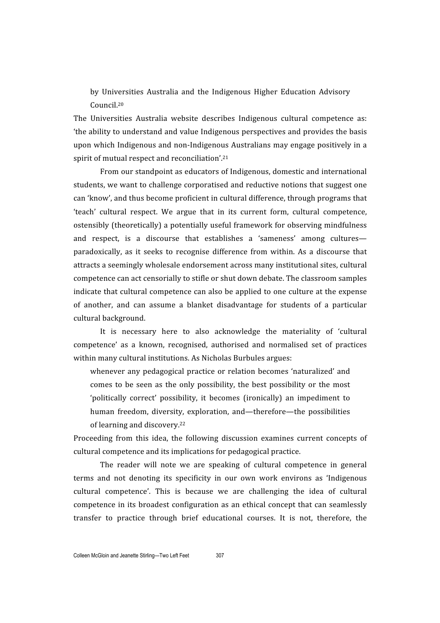by
 Universities
 Australia
 and
 the
 Indigenous
 Higher
 Education
 Advisory Council.20

The
 Universities
 Australia
 website
 describes
 Indigenous
 cultural
 competence
 as: 'the
ability
to
understand
and
value
Indigenous
perspectives
and
provides
the
basis upon which Indigenous and non-Indigenous Australians may engage positively in a spirit of mutual respect and reconciliation'.<sup>21</sup>

From
our
standpoint
as
educators
of
Indigenous,
domestic
and
international students,
we
want
to
challenge
corporatised
and
reductive
notions
that
suggest
one can
'know',
and
thus
become
proficient
in
cultural
difference,
through
programs
that 'teach' cultural respect. We argue that in its current form, cultural competence, ostensibly
(theoretically)
a
potentially
useful
framework
for
observing
mindfulness and respect, is a discourse that establishes a 'sameness' among culturesparadoxically, as it seeks to recognise difference from within. As a discourse that attracts
a
seemingly
wholesale
endorsement
across
many
institutional
sites,
cultural competence
can
act
censorially
to
stifle
or
shut
down
debate.
The
classroom
samples indicate
that
cultural
competence
can
also
be
applied
to
one
culture
at
the
expense of
 another,
 and
 can
 assume
 a
 blanket
 disadvantage
 for
 students
 of
 a
 particular cultural
background.

It is necessary here to also acknowledge the materiality of 'cultural competence'
 as
 a
 known,
 recognised,
 authorised
 and
 normalised
 set
 of
 practices within many cultural institutions. As Nicholas Burbules argues:

whenever
any
 pedagogical
 practice
 or
 relation
 becomes
 'naturalized'
and comes
 to
 be
 seen
 as
 the
 only
 possibility,
 the
 best
 possibility
 or
 the
most 'politically correct' possibility, it becomes (ironically) an impediment to human
 freedom,
 diversity,
 exploration,
 and—therefore—the
 possibilities of
learning
and
discovery.22

Proceeding from this idea, the following discussion examines current concepts of cultural
competence
and
its
implications
for
pedagogical
practice.

The reader will note we are speaking of cultural competence in general terms and not denoting its specificity in our own work environs as 'Indigenous cultural
 competence'. This
 is
 because
 we
 are
 challenging
 the idea
 of
 cultural competence
in
its
broadest
configuration
as
an
ethical
concept
 that
can
seamlessly transfer to practice through brief educational courses. It is not, therefore, the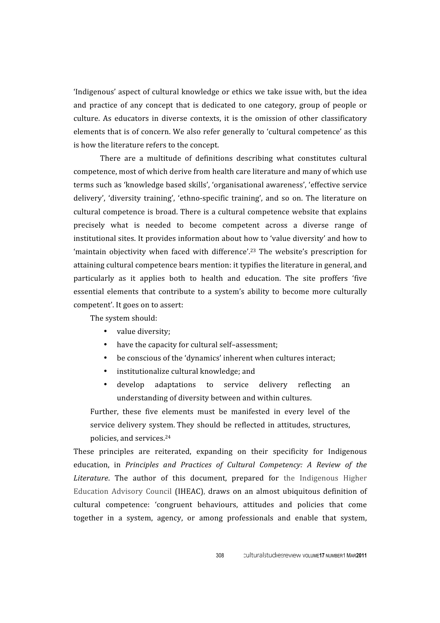'Indigenous' aspect of cultural knowledge or ethics we take issue with, but the idea and practice of any concept that is dedicated to one category, group of people or culture. As educators in diverse contexts, it is the omission of other classificatory elements
that
is
of
concern.
We
also
refer
generally
to
'cultural
competence'
as
this is
how
the
literature
refers
to
the
concept.

There
 are
 a
 multitude
 of
 definitions
 describing
 what
 constitutes
 cultural competence,
most
of
which
derive
from
health care
literature
and
many
of
which
use terms
such
as
'knowledge
based
skills',
'organisational
awareness',
'effective
service delivery', 'diversity training', 'ethno-specific training', and so on. The literature on cultural
competence
is
broad.
There
is
a
cultural
competence
website
 that
explains precisely
 what
 is
 needed
 to
 become
 competent
 across
 a
 diverse
 range
 of institutional
sites.
It
provides
information
about
how
to
'value
diversity'
and
how
to 'maintain objectivity when faced with difference'.<sup>23</sup> The website's prescription for attaining
cultural
competence
bears
mention:
it
typifies
the
literature
in
general,
and particularly as it applies both to health and education. The site proffers 'five essential
 elements
that
 contribute
 to
 a
 system's
 ability
 to
 become
 more
 culturally competent'.
It
goes
on
to
assert:

The
system
should:

- value
diversity;
- have the capacity for cultural self-assessment:
- be conscious of the 'dynamics' inherent when cultures interact;
- institutionalize cultural knowledge: and
- develop adaptations to service delivery reflecting an understanding
of
diversity
between
and
within
cultures.

Further, these five elements must be manifested in every level of the service delivery system. They should be reflected in attitudes, structures, policies,
and
services.24

These principles are reiterated, expanding on their specificity for Indigenous education, in *Principles and Practices of Cultural Competency: A Review of the* Literature. The author of this document, prepared for the Indigenous Higher Education Advisory Council (IHEAC), draws on an almost ubiquitous definition of cultural
 competence:
 'congruent
 behaviours,
 attitudes
 and
 policies
 that
 come together in a system, agency, or among professionals and enable that system,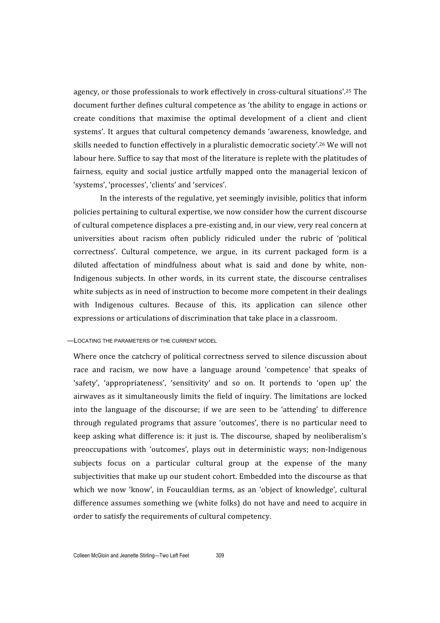agency, or those professionals to work effectively in cross-cultural situations'.<sup>25</sup> The document
further
defines
cultural
competence
as
'the
ability
to
engage
in
actions
or create
 conditions
 that
 maximise
 the
 optimal
 development
 of
 a
 client
 and
 client systems'. It argues that cultural competency demands 'awareness, knowledge, and skills needed to function effectively in a pluralistic democratic society'.<sup>26</sup> We will not labour here. Suffice to say that most of the literature is replete with the platitudes of fairness, equity and social justice artfully mapped onto the managerial lexicon of 'systems',
'processes', 'clients'
and
'services'.

In the interests of the regulative, yet seemingly invisible, politics that inform policies
pertaining
to
cultural
expertise,
we
now
consider
how
the
current
discourse of
cultural
competence
displaces
a
pre‐existing
and,
in
our
view,
very
real
concern
at universities about racism often publicly ridiculed under the rubric of 'political correctness'.
 Cultural
 competence,
 we
 argue,
 in
 its
 current
 packaged
 form
 is
 a diluted affectation of mindfulness about what is said and done by white, non-Indigenous subjects. In other words, in its current state, the discourse centralises white subjects as in need of instruction to become more competent in their dealings with Indigenous cultures. Because of this, its application can silence other expressions or articulations of discrimination that take place in a classroom.

#### —LOCATING THE PARAMETERS OF THE CURRENT MODEL

Where once the catchcry of political correctness served to silence discussion about race and racism, we now have a language around 'competence' that speaks of 'safety', 'appropriateness', 'sensitivity' and so on. It portends to 'open up' the airwaves as it simultaneously limits the field of inquiry. The limitations are locked into
 the
 language
 of
 the
 discourse;
 if
 we
 are
 seen
 to
 be 'attending'
 to
 difference through
 regulated
 programs
 that
 assure 'outcomes',
 there
is
 no
 particular
 need
 to keep
 asking
what
 difference
is:
it
just
is.
The
 discourse,
 shaped
 by
 neoliberalism's preoccupations
 with 'outcomes',
 plays
 out
 in
 deterministic
 ways; non‐Indigenous subjects focus on a particular cultural group at the expense of the many subjectivities that make up our student cohort. Embedded into the discourse as that which we now 'know', in Foucauldian terms, as an 'object of knowledge', cultural difference assumes something we (white folks) do not have and need to acquire in order
to
satisfy
the
requirements
of
cultural
competency.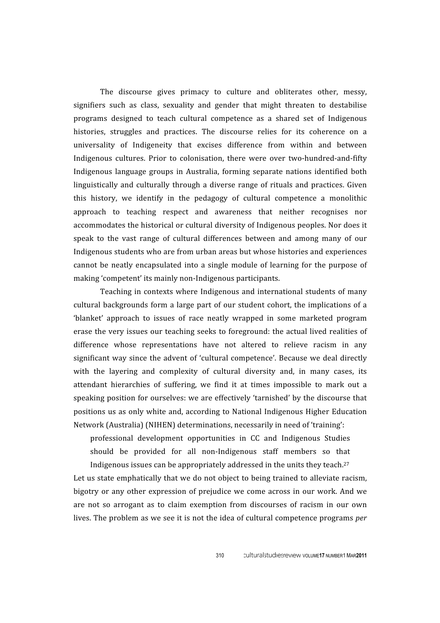The discourse gives primacy to culture and obliterates other, messy, signifiers such as class, sexuality and gender that might threaten to destabilise programs
 designed
 to
 teach
 cultural
 competence
 as
 a
 shared
 set
 of
 Indigenous histories, struggles and practices. The discourse relies for its coherence on a universality
 of
 Indigeneity
 that
 excises
 difference
 from
 within
 and
 between Indigenous cultures. Prior to colonisation, there were over two-hundred-and-fifty Indigenous
 language
 groups
 in
 Australia, forming
 separate
 nations
 identified
 both linguistically and culturally through a diverse range of rituals and practices. Given this
 history,
 we
 identify
 in
 the
 pedagogy
 of
 cultural
 competence
 a
 monolithic approach
 to
 teaching
 respect
 and
 awareness
 that
 neither
 recognises
 nor accommodates
the
historical
or
cultural
diversity
of
Indigenous
peoples.
Nor
does
it speak to the vast range of cultural differences between and among many of our Indigenous
students
who
are
from
urban
areas
but
whose
histories
and
experiences cannot
 be
 neatly
 encapsulated
into
 a
 single
module
 of
learning
 for
 the
 purpose
 of making
'competent'
its
mainly
non‐Indigenous
participants.

Teaching
in
contexts
where
 Indigenous
and
international
students
 of
many cultural
backgrounds
 form
a
large
part
of
our
student
cohort,
 the
implications
of
a 'blanket' approach to issues of race neatly wrapped in some marketed program erase
 the
very
issues
our
 teaching
seeks
 to
 foreground:
 the
actual
lived
realities
of difference whose representations have not altered to relieve racism in any significant way since the advent of 'cultural competence'. Because we deal directly with the layering and complexity of cultural diversity and, in many cases, its attendant hierarchies of suffering, we find it at times impossible to mark out a speaking position for ourselves: we are effectively 'tarnished' by the discourse that positions
us
as
only
white
and,
according
 to
National
 Indigenous
Higher
Education Network (Australia) (NIHEN) determinations, necessarily in need of 'training':

professional
 development
 opportunities
 in
 CC
 and
 Indigenous
 Studies should be provided for all non-Indigenous staff members so that Indigenous issues can be appropriately addressed in the units they teach.<sup>27</sup>

Let us state emphatically that we do not object to being trained to alleviate racism, bigotry or any other expression of prejudice we come across in our work. And we are not so arrogant as to claim exemption from discourses of racism in our own lives. The problem as we see it is not the idea of cultural competence programs *per*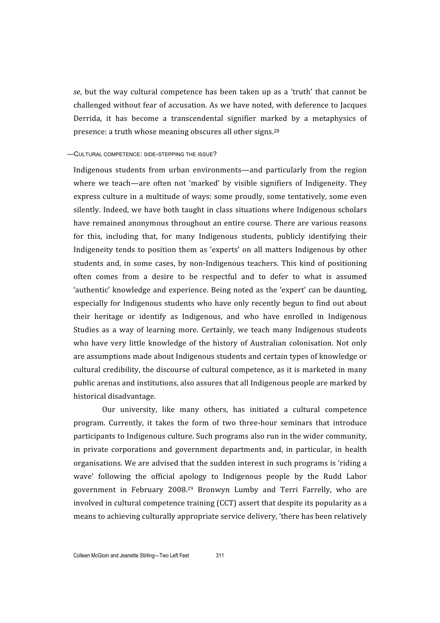se, but the way cultural competence has been taken up as a 'truth' that cannot be challenged
without
 fear
of
accusation.
As
we
have
noted,
with
deference
to
 Jacques Derrida, it has become a transcendental signifier marked by a metaphysics of presence: a truth whose meaning obscures all other signs.<sup>28</sup>

#### —CULTURAL COMPETENCE: SIDE-STEPPING THE ISSUE?

Indigenous
 students
 from
 urban
 environments—and
 particularly
 from
 the
 region where we teach—are often not 'marked' by visible signifiers of Indigeneity. They express
culture
in
a
multitude
of
ways:
some
proudly,
some
 tentatively,
some
even silently.
Indeed,
we
have
both
 taught
in
class
situations
where
 Indigenous
scholars have remained anonymous throughout an entire course. There are various reasons for this, including that, for many Indigenous students, publicly identifying their Indigeneity tends to position them as 'experts' on all matters Indigenous by other students and, in some cases, by non-Indigenous teachers. This kind of positioning often
 comes
 from
 a
 desire
 to
 be
 respectful
 and
 to
 defer
 to
 what
 is
 assumed 'authentic' knowledge and experience. Being noted as the 'expert' can be daunting, especially for Indigenous students who have only recently begun to find out about their
 heritage
 or
 identify
 as
 Indigenous,
 and
 who
 have
 enrolled
 in
 Indigenous Studies as a way of learning more. Certainly, we teach many Indigenous students who have very little knowledge of the history of Australian colonisation. Not only are
assumptions
made
about
Indigenous
students
and
certain
types
of
knowledge
or cultural
credibility,
the
discourse
of
cultural
competence,
as
it
is
marketed
in
many public
arenas
and
institutions,
also
assures
that
all
Indigenous
people
are
marked
by historical
disadvantage.

Our university, like many others, has initiated a cultural competence program.
 Currently,
 it
 takes the
 form
 of
 two
 three‐hour
 seminars
 that
 introduce participants
to
Indigenous
culture.
Such
programs
also
run
in
the
wider
community, in
 private
 corporations
 and
 government
 departments
 and,
 in
 particular,
 in
 health organisations.
We
are
advised
that
the
sudden
interest
in
such
programs
is
'riding
a wave' following the official apology to Indigenous people by the Rudd Labor government
 in
 February
 2008.29 Bronwyn
 Lumby
 and
 Terri
 Farrelly,
 who
 are involved in cultural competence training (CCT) assert that despite its popularity as a means
to
achieving
culturally
appropriate
service
delivery,
'there
has
been
relatively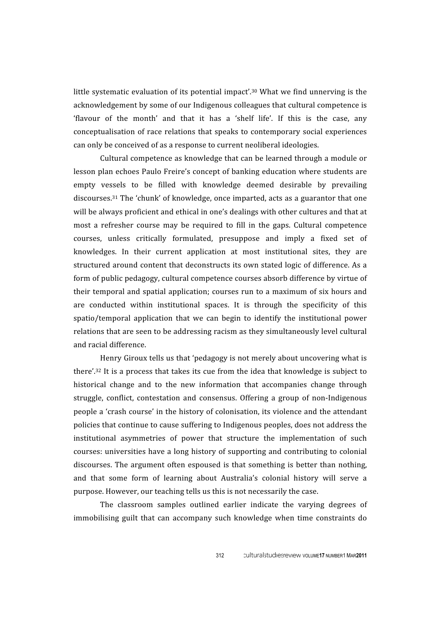little systematic evaluation of its potential impact'.<sup>30</sup> What we find unnerving is the acknowledgement
by
some
of
our
Indigenous
colleagues
that
cultural
competence
is 'flavour of the month' and that it has a 'shelf life'. If this is the case, any conceptualisation
 of
 race
 relations
 that
 speaks
 to
contemporary
 social
experiences can
only
be
conceived
of
as
a
response
to
current
neoliberal
ideologies.

Cultural
competence
as
knowledge
that
can
be
learned
through
a
module
or lesson
plan
echoes
Paulo
Freire's
concept
of
banking
education
where
students
are empty vessels to be filled with knowledge deemed desirable by prevailing discourses.31 The
'chunk'
of
knowledge,
once
imparted,
acts
as
a
guarantor
that
one will be always proficient and ethical in one's dealings with other cultures and that at most
 a
 refresher
 course
 may
 be
 required
 to
 fill
 in
 the
 gaps. Cultural
 competence courses,
 unless
 critically
 formulated, presuppose
 and imply
 a
 fixed
 set
 of knowledges. In their current application at most institutional sites, they are structured around content that deconstructs its own stated logic of difference. As a form
of
public
pedagogy,
cultural
competence
courses
absorb
difference
by
virtue
of their temporal and spatial application; courses run to a maximum of six hours and are conducted within institutional spaces. It is through the specificity of this spatio/temporal application that we can begin to identify the institutional power relations that are seen to be addressing racism as they simultaneously level cultural and
racial
difference.

Henry Giroux tells us that 'pedagogy is not merely about uncovering what is there'.<sup>32</sup> It is a process that takes its cue from the idea that knowledge is subject to historical change and to the new information that accompanies change through struggle, conflict, contestation and consensus. Offering a group of non-Indigenous people
a
'crash
course'
in
the
history
of
colonisation,
its
violence
and
the
attendant policies
that
continue
to
cause
suffering
to
Indigenous
peoples,
does
not
address
the institutional
 asymmetries
 of
 power
 that
 structure
 the
 implementation
 of
 such courses:
universities
have
a
long
history
of
supporting
and
contributing
 to
colonial discourses. The argument often espoused is that something is better than nothing, and that some form of learning about Australia's colonial history will serve a purpose.
However,
our
teaching
tells
us
this
is
not
necessarily
the
case.

The classroom samples outlined earlier indicate the varying degrees of immobilising guilt that can accompany such knowledge when time constraints do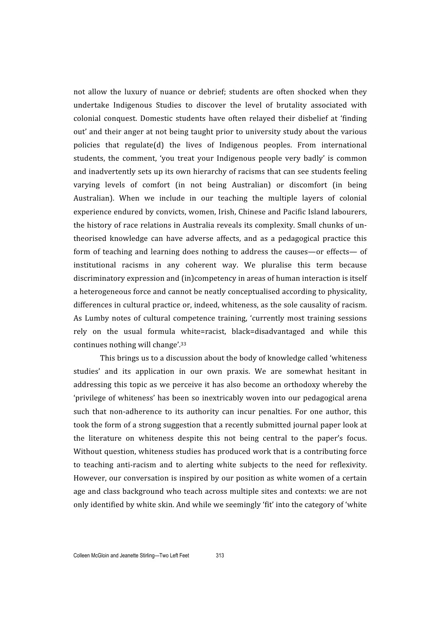not allow the luxury of nuance or debrief; students are often shocked when they undertake Indigenous Studies to discover the level of brutality associated with colonial conquest. Domestic students have often relayed their disbelief at 'finding out'
and
their
anger
at
not
being
taught
prior
to
university
study
about
the
various policies that
 regulate(d)
 the
 lives
 of
 Indigenous
 peoples. From
 international students, the comment, 'you treat your Indigenous people very badly' is common and inadvertently sets up its own hierarchy of racisms that can see students feeling varying
 levels
 of
 comfort
 (in
 not
 being
 Australian)
 or
 discomfort
 (in
 being Australian). When we include in our teaching the multiple layers of colonial experience
endured
by
convicts,
women,
Irish,
Chinese
and
Pacific
Island
labourers, the history of race relations in Australia reveals its complexity. Small chunks of untheorised knowledge can have adverse affects, and as a pedagogical practice this form of teaching and learning does nothing to address the causes—or effects— of institutional racisms in any coherent way. We pluralise this term because discriminatory expression and (in)competency in areas of human interaction is itself a heterogeneous force and cannot be neatly conceptualised according to physicality. differences in cultural practice or, indeed, whiteness, as the sole causality of racism. As Lumby notes of cultural competence training, 'currently most training sessions rely on the usual formula white=racist, black=disadvantaged and while this continues
nothing
will
change'.33

This
brings
us
to
a
discussion
about
the
body
of
knowledge
called
'whiteness studies' and its application in our own praxis. We are somewhat hesitant in addressing this topic as we perceive it has also become an orthodoxy whereby the 'privilege
of
whiteness'
has
been
so
inextricably
woven
into
our
pedagogical
arena such that non-adherence to its authority can incur penalties. For one author, this took the form of a strong suggestion that a recently submitted journal paper look at the
 literature
 on
 whiteness
 despite
 this
 not
 being
 central
 to
 the
 paper's
 focus. Without question, whiteness studies has produced work that is a contributing force to teaching anti-racism and to alerting white subjects to the need for reflexivity. However, our conversation is inspired by our position as white women of a certain age
and
class
background
who
teach
across
multiple
sites
and
contexts:
we
are
not only identified by white skin. And while we seemingly 'fit' into the category of 'white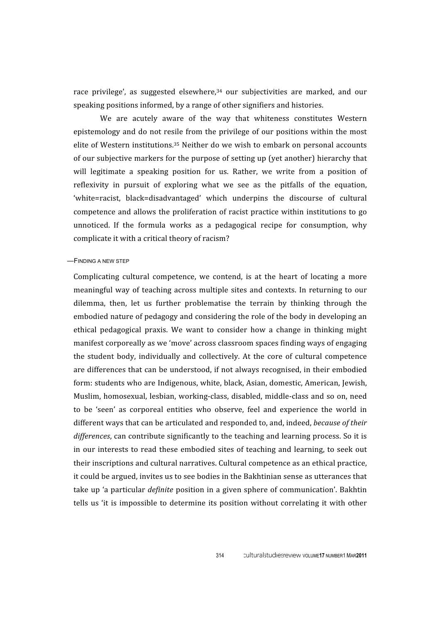race privilege', as suggested elsewhere,<sup>34</sup> our subjectivities are marked, and our speaking
positions informed,
by
a
range
of
other
signifiers
and
histories.

We are acutely aware of the way that whiteness constitutes Western epistemology
and
do
not
resile
 from
 the
privilege
of
our
positions
within
 the
most elite of Western institutions.<sup>35</sup> Neither do we wish to embark on personal accounts of
our
subjective
markers
for
the
purpose
of
setting
up
(yet
another)
hierarchy
that will legitimate a speaking position for us. Rather, we write from a position of reflexivity in pursuit of exploring what we see as the pitfalls of the equation. 'white=racist,
 black=disadvantaged'
 which
 underpins
 the
 discourse
 of
 cultural competence
and
allows
 the
proliferation
of
racist
practice
within
institutions
 to
go unnoticed. If the formula works as a pedagogical recipe for consumption, why complicate
it
with
a
critical
theory
of
racism?

—FINDING A NEW STEP

Complicating cultural competence, we contend, is at the heart of locating a more meaningful way of teaching across multiple sites and contexts. In returning to our dilemma, then, let us further problematise the terrain by thinking through the embodied nature of pedagogy and considering the role of the body in developing an ethical
 pedagogical
 praxis. We
 want
 to
 consider
 how
 a
 change
 in
 thinking
 might manifest
corporeally
as
we
'move'
across
classroom
spaces
finding
ways
of
engaging the
 student
 body,
individually
 and
 collectively.
 At
 the
 core
 of
 cultural
 competence are
differences
that
can
be
understood,
if
not
always
recognised,
in
their
embodied form: students who are Indigenous, white, black, Asian, domestic, American, Jewish, Muslim,
homosexual,
lesbian,
working‐class,
disabled,
middle‐class
and
so
on,
need to be 'seen' as corporeal entities who observe, feel and experience the world in different ways that can be articulated and responded to, and, indeed, *because of their* differences, can contribute significantly to the teaching and learning process. So it is in our interests to read these embodied sites of teaching and learning, to seek out their
inscriptions
and
cultural
narratives.
Cultural
competence
as
an
ethical
practice, it
could
be
argued,
invites
us
to
see
bodies
in
the
Bakhtinian
sense
as
utterances
that take up 'a particular *definite* position in a given sphere of communication'. Bakhtin tells us 'it is impossible to determine its position without correlating it with other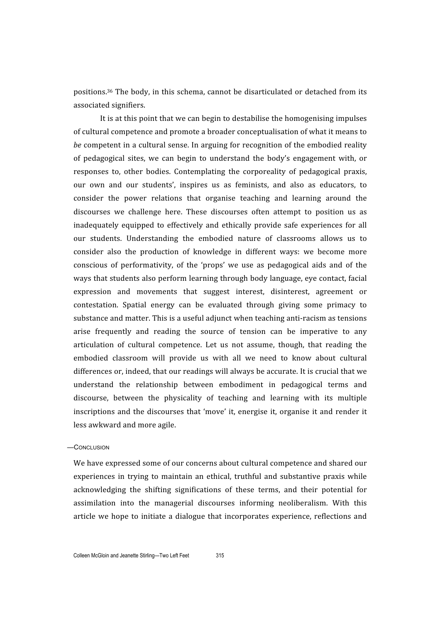positions.36 The
body,
in
this
schema,
cannot
be
disarticulated
or
detached
 from
its associated
signifiers.

It is at this point that we can begin to destabilise the homogenising impulses of
cultural
competence
and
promote
a
broader
conceptualisation
of
what
it
means
to be competent in a cultural sense. In arguing for recognition of the embodied reality of
 pedagogical
 sites,
 we
 can
 begin
 to
 understand
 the
 body's
 engagement
 with,
 or responses
 to,
 other
 bodies.
 Contemplating
 the
 corporeality
 of
 pedagogical
 praxis, our own and our students', inspires us as feminists, and also as educators, to consider the power relations that organise teaching and learning around the discourses we challenge here. These discourses often attempt to position us as inadequately equipped to effectively and ethically provide safe experiences for all our students. Understanding the embodied nature of classrooms allows us to consider
 also
 the
 production
 of
 knowledge
 in
 different
 ways:
 we
 become
 more conscious of performativity, of the 'props' we use as pedagogical aids and of the ways
that
students
also
perform
learning
through
body
language,
eye
contact,
facial expression and movements that suggest interest, disinterest, agreement or contestation.
 Spatial
 energy
 can
 be
 evaluated
 through
 giving
 some
 primacy
 to substance and matter. This is a useful adjunct when teaching anti-racism as tensions arise frequently and reading the source of tension can be imperative to any articulation
 of
 cultural
 competence.
 Let
 us
 not
 assume,
 though,
 that
 reading
 the embodied classroom will provide us with all we need to know about cultural differences or, indeed, that our readings will always be accurate. It is crucial that we understand
 the
 relationship
 between
 embodiment
 in
 pedagogical
 terms
 and discourse, between the physicality of teaching and learning with its multiple inscriptions and the discourses that 'move' it, energise it, organise it and render it less
awkward
and
more
agile.

#### —CONCLUSION

We have expressed some of our concerns about cultural competence and shared our experiences in trying to maintain an ethical, truthful and substantive praxis while acknowledging the shifting significations of these terms, and their potential for assimilation
 into
 the
 managerial
 discourses
 informing neoliberalism.
 With
 this article
we
 hope
 to
initiate
 a
 dialogue
 that
incorporates
 experience,
 reflections
 and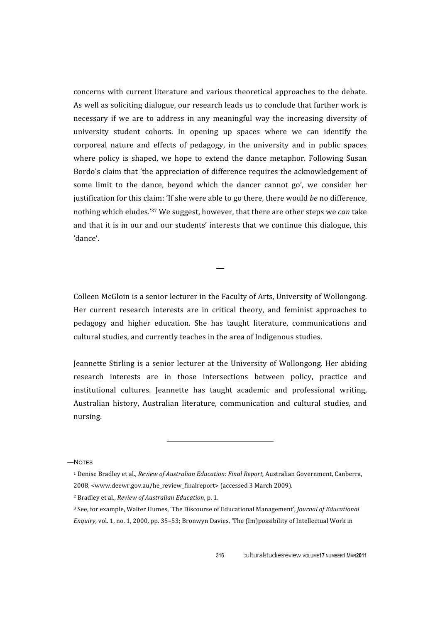concerns with current literature and various theoretical approaches to the debate. As
well
as
soliciting
dialogue,
our
research
leads
us
to
conclude
that
further
work
is necessary if we are to address in any meaningful way the increasing diversity of university student cohorts. In opening up spaces where we can identify the corporeal
 nature
 and
 effects
 of
 pedagogy,
 in
 the
 university
 and
 in
 public
 spaces where policy is shaped, we hope to extend the dance metaphor. Following Susan Bordo's claim that 'the appreciation of difference requires the acknowledgement of some limit to the dance, beyond which the dancer cannot go', we consider her justification for this claim: 'If she were able to go there, there would be no difference, nothing which eludes.<sup>'37</sup> We suggest, however, that there are other steps we can take and that it is in our and our students' interests that we continue this dialogue, this 'dance'.

Colleen
McGloin
is
a
senior
lecturer
in
the
Faculty
of
Arts,
University
of
Wollongong. Her current research interests are in critical theory, and feminist approaches to pedagogy
 and
 higher
 education.
 She
 has
 taught
 literature,
 communications
 and cultural
studies,
and
currently
teaches
in
the
area
of
Indigenous
studies.

—

Jeannette Stirling is a senior lecturer at the University of Wollongong. Her abiding research
 interests
 are
 in
 those
 intersections
 between
 policy,
 practice
 and institutional
 cultures.
 Jeannette
 has
 taught
 academic
 and
 professional
 writing, Australian history, Australian literature, communication and cultural studies, and nursing.

—NOTES

<sup>&</sup>lt;sup>1</sup> Denise Bradley et al., *Review of Australian Education: Final Report*, Australian Government, Canberra, 2008,
<www.deewr.gov.au/he\_review\_finalreport> (accessed
3
March
2009).

<sup>2</sup> Bradley
et
al., *Review
of
Australian
Education*,
p. 1.

<sup>3</sup> See,
for
example,
Walter
Humes,
'The
Discourse
of
Educational
Management', *Journal
of
Educational*  Enquiry, vol. 1, no. 1, 2000, pp. 35-53; Bronwyn Davies, 'The (Im)possibility of Intellectual Work in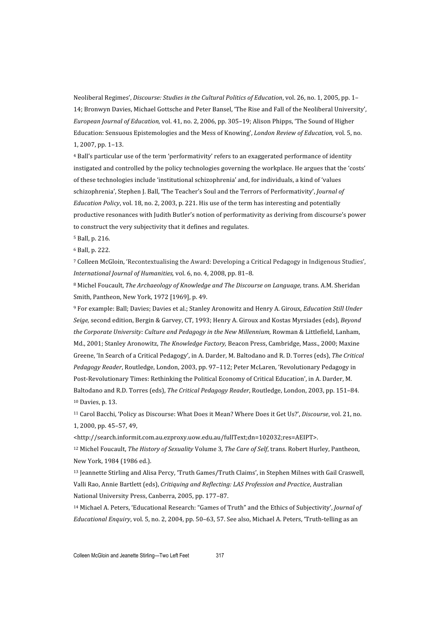Neoliberal Regimes', Discourse: Studies in the Cultural Politics of Education, vol. 26, no. 1, 2005, pp. 1-14;
Bronwyn
Davies,
Michael
Gottsche
and
Peter
Bansel,
'The
Rise
and
Fall
of
the
Neoliberal
University', European Journal of Education, vol. 41, no. 2, 2006, pp. 305–19; Alison Phipps, 'The Sound of Higher Education:
Sensuous
Epistemologies
and
the
Mess
of
Knowing', *London
Review
of
Education,* vol.
5,
no. 1,
2007,
pp.
1–13.

<sup>4</sup> Ball's particular use of the term 'performativity' refers to an exaggerated performance of identity instigated
and
controlled
by
the
policy
technologies
governing
the
workplace.
He
argues
that
the
'costs' of these technologies include 'institutional schizophrenia' and, for individuals, a kind of 'values schizophrenia', Stephen J. Ball, 'The Teacher's Soul and the Terrors of Performativity', *Journal of* Education Policy, vol. 18, no. 2, 2003, p. 221. His use of the term has interesting and potentially productive resonances with Judith Butler's notion of performativity as deriving from discourse's power to construct the very subjectivity that it defines and regulates.

<sup>5</sup> Ball,
p. 216.

<sup>6</sup> Ball,
p. 222.

<sup>7</sup> Colleen McGloin, 'Recontextualising the Award: Developing a Critical Pedagogy in Indigenous Studies', International Journal of Humanities, vol. 6, no. 4, 2008, pp. 81-8.

<sup>8</sup> Michel Foucault, The Archaeology of Knowledge and The Discourse on Language, trans. A.M. Sheridan Smith,
Pantheon,
New
York,
1972
[1969], p. 49.

<sup>9</sup> For example: Ball; Davies; Davies et al.; Stanley Aronowitz and Henry A. Giroux, Education Still Under Seige, second edition, Bergin & Garvey, CT, 1993; Henry A. Giroux and Kostas Myrsiades (eds), *Beyond* the Corporate University: Culture and Pedagogy in the New Millennium, Rowman & Littlefield, Lanham, Md., 2001; Stanley Aronowitz, The Knowledge Factory, Beacon Press, Cambridge, Mass., 2000; Maxine Greene, 'In Search of a Critical Pedagogy', in A. Darder, M. Baltodano and R. D. Torres (eds), The Critical Pedagogy Reader, Routledge, London, 2003, pp. 97-112; Peter McLaren, 'Revolutionary Pedagogy in Post-Revolutionary Times: Rethinking the Political Economy of Critical Education', in A. Darder, M. Baltodano
and
R.D.
Torres
(eds), *The
Critical
Pedagogy
Reader*,
Routledge,
London,
2003,
pp.
151–84. 10
Davies,
p. 13.

<sup>11</sup> Carol Bacchi, 'Policy as Discourse: What Does it Mean? Where Does it Get Us?', Discourse, vol. 21, no. 1,
2000,
pp.
45–57,
49,

<http://search.informit.com.au.ezproxy.uow.edu.au/fullText;dn=102032;res=AEIPT>.

<sup>12</sup> Michel Foucault, The History of Sexuality Volume 3, The Care of Self, trans. Robert Hurley, Pantheon, New
York,
1984
(1986
ed.).

13 Jeannette Stirling and Alisa Percy, 'Truth Games/Truth Claims', in Stephen Milnes with Gail Craswell, Valli
Rao,
Annie
Bartlett
(eds), *Critiquing
and
Reflecting:
LAS
Profession
and
Practice*,
Australian National
University
Press,
Canberra,
2005,
pp.
177–87.

<sup>14</sup> Michael A. Peters, 'Educational Research: "Games of Truth" and the Ethics of Subjectivity', *Journal of* Educational Enquiry, vol. 5, no. 2, 2004, pp. 50–63, 57. See also, Michael A. Peters, 'Truth-telling as an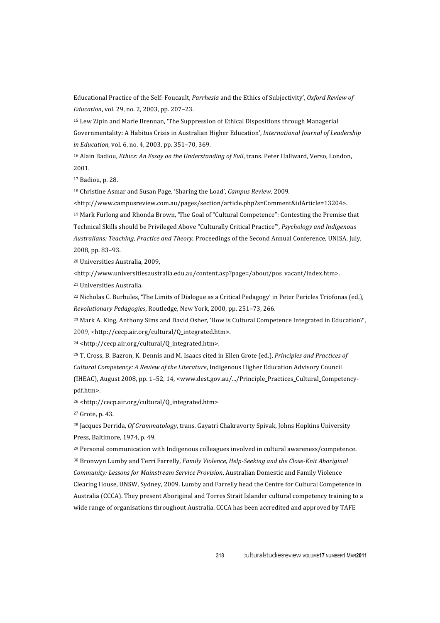Educational Practice of the Self: Foucault, *Parrhesia* and the Ethics of Subjectivity', Oxford Review of *Education*,
vol.
29,
no.
2,
2003,
pp.
207–23.

<sup>15</sup> Lew Zipin and Marie Brennan, 'The Suppression of Ethical Dispositions through Managerial Governmentality: A Habitus Crisis in Australian Higher Education', International Journal of Leadership in *Education*, vol. 6, no. 4, 2003, pp. 351-70, 369.

<sup>16</sup> Alain Badiou, *Ethics: An Essay on the Understanding of Evil*, trans. Peter Hallward, Verso, London, 2001.

<sup>17</sup> Badiou,
p. 28.

18
Christine
Asmar
and
Susan
Page,
'Sharing
the
Load', *Campus
Review,* 2009*.*

<http://www.campusreview.com.au/pages/section/article.php?s=Comment&idArticle=13204>.

<sup>19</sup> Mark Furlong and Rhonda Brown, 'The Goal of "Cultural Competence": Contesting the Premise that Technical
Skills
should
be
Privileged
Above "Culturally
Critical
Practice"', *Psychology
and
Indigenous*  Australians: Teaching, Practice and Theory, Proceedings of the Second Annual Conference, UNISA, July, 2008,
pp.
83–93.

20
Universities
Australia,
2009,

<http://www.universitiesaustralia.edu.au/content.asp?page=/about/pos\_vacant/index.htm>.

21
Universities
Australia.

<sup>22</sup> Nicholas C. Burbules, 'The Limits of Dialogue as a Critical Pedagogy' in Peter Pericles Triofonas (ed.). *Revolutionary
Pedagogies*,
Routledge,
New
York,
2000,
pp.
251–73,
266.

<sup>23</sup> Mark A. King, Anthony Sims and David Osher, 'How is Cultural Competence Integrated in Education?', 2009,
<http://cecp.air.org/cultural/Q\_integrated.htm>.

<sup>24</sup> <http://cecp.air.org/cultural/Q\_integrated.htm>.

<sup>25</sup> T. Cross, B. Bazron, K. Dennis and M. Isaacs cited in Ellen Grote (ed.), Principles and Practices of Cultural Competency: A Review of the Literature, Indigenous Higher Education Advisory Council (IHEAC),
August
2008,
pp.
1–52, 14, <www.dest.gov.au/.../Principle\_Practices\_Cultural\_Competency‐ pdf.htm>.

26
<http://cecp.air.org/cultural/Q\_integrated.htm>

27
Grote,
p. 43.

<sup>28</sup> Jacques Derrida, *Of Grammatology*, trans. Gayatri Chakravorty Spivak, Johns Hopkins University Press,
Baltimore,
1974,
p. 49.

29
Personal
communication
with
Indigenous
colleagues
involved
in
cultural
awareness/competence. <sup>30</sup> Bronwyn Lumby and Terri Farrelly, *Family Violence, Help-Seeking and the Close-Knit Aboriginal* Community: Lessons for Mainstream Service Provision, Australian Domestic and Family Violence Clearing House, UNSW, Sydney, 2009. Lumby and Farrelly head the Centre for Cultural Competence in Australia (CCCA). They present Aboriginal and Torres Strait Islander cultural competency training to a wide range of organisations throughout Australia. CCCA has been accredited and approved by TAFE